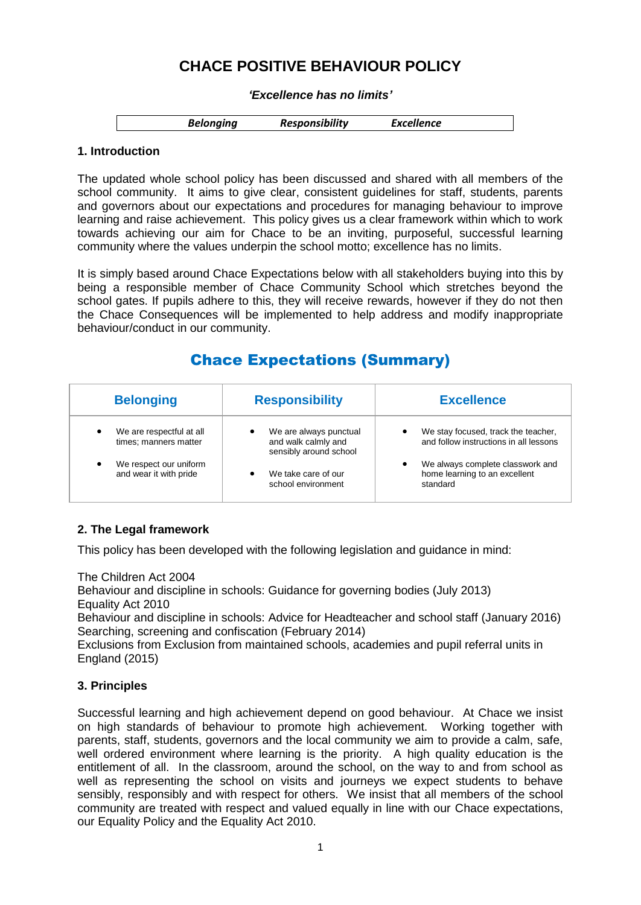# **CHACE POSITIVE BEHAVIOUR POLICY**

#### *'Excellence has no limits'*

| <b>Belonging</b> | <b>Responsibility</b> | <b>Excellence</b> |
|------------------|-----------------------|-------------------|
|                  |                       |                   |

## **1. Introduction**

The updated whole school policy has been discussed and shared with all members of the school community. It aims to give clear, consistent guidelines for staff, students, parents and governors about our expectations and procedures for managing behaviour to improve learning and raise achievement. This policy gives us a clear framework within which to work towards achieving our aim for Chace to be an inviting, purposeful, successful learning community where the values underpin the school motto; excellence has no limits.

It is simply based around Chace Expectations below with all stakeholders buying into this by being a responsible member of Chace Community School which stretches beyond the school gates. If pupils adhere to this, they will receive rewards, however if they do not then the Chace Consequences will be implemented to help address and modify inappropriate behaviour/conduct in our community.

# Chace Expectations (Summary)

| <b>Belonging</b>                                  | <b>Responsibility</b>                                                   | <b>Excellence</b>                                                                  |
|---------------------------------------------------|-------------------------------------------------------------------------|------------------------------------------------------------------------------------|
| We are respectful at all<br>times; manners matter | We are always punctual<br>and walk calmly and<br>sensibly around school | We stay focused, track the teacher,<br>٠<br>and follow instructions in all lessons |
| We respect our uniform<br>and wear it with pride  | We take care of our<br>school environment                               | We always complete classwork and<br>٠<br>home learning to an excellent<br>standard |

## **2. The Legal framework**

This policy has been developed with the following legislation and guidance in mind:

The Children Act 2004

Behaviour and discipline in schools: Guidance for governing bodies (July 2013) Equality Act 2010

Behaviour and discipline in schools: Advice for Headteacher and school staff (January 2016) Searching, screening and confiscation (February 2014)

Exclusions from Exclusion from maintained schools, academies and pupil referral units in England (2015)

## **3. Principles**

Successful learning and high achievement depend on good behaviour. At Chace we insist on high standards of behaviour to promote high achievement. Working together with parents, staff, students, governors and the local community we aim to provide a calm, safe, well ordered environment where learning is the priority. A high quality education is the entitlement of all. In the classroom, around the school, on the way to and from school as well as representing the school on visits and journeys we expect students to behave sensibly, responsibly and with respect for others. We insist that all members of the school community are treated with respect and valued equally in line with our Chace expectations, our Equality Policy and the Equality Act 2010.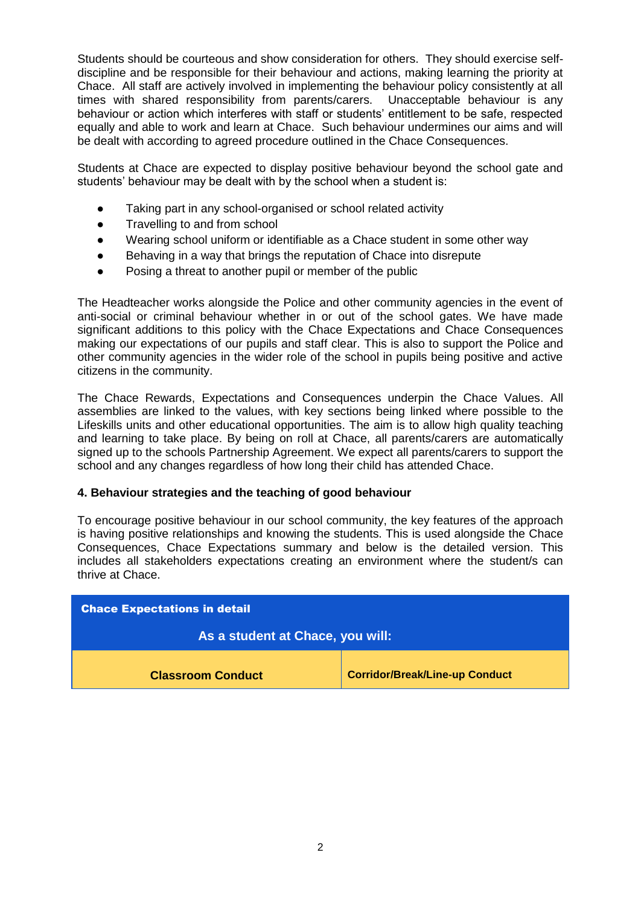Students should be courteous and show consideration for others. They should exercise selfdiscipline and be responsible for their behaviour and actions, making learning the priority at Chace. All staff are actively involved in implementing the behaviour policy consistently at all times with shared responsibility from parents/carers. Unacceptable behaviour is any behaviour or action which interferes with staff or students' entitlement to be safe, respected equally and able to work and learn at Chace. Such behaviour undermines our aims and will be dealt with according to agreed procedure outlined in the Chace Consequences.

Students at Chace are expected to display positive behaviour beyond the school gate and students' behaviour may be dealt with by the school when a student is:

- Taking part in any school-organised or school related activity
- Travelling to and from school
- Wearing school uniform or identifiable as a Chace student in some other way
- Behaving in a way that brings the reputation of Chace into disrepute
- Posing a threat to another pupil or member of the public

The Headteacher works alongside the Police and other community agencies in the event of anti-social or criminal behaviour whether in or out of the school gates. We have made significant additions to this policy with the Chace Expectations and Chace Consequences making our expectations of our pupils and staff clear. This is also to support the Police and other community agencies in the wider role of the school in pupils being positive and active citizens in the community.

The Chace Rewards, Expectations and Consequences underpin the Chace Values. All assemblies are linked to the values, with key sections being linked where possible to the Lifeskills units and other educational opportunities. The aim is to allow high quality teaching and learning to take place. By being on roll at Chace, all parents/carers are automatically signed up to the schools Partnership Agreement. We expect all parents/carers to support the school and any changes regardless of how long their child has attended Chace.

## **4. Behaviour strategies and the teaching of good behaviour**

To encourage positive behaviour in our school community, the key features of the approach is having positive relationships and knowing the students. This is used alongside the Chace Consequences, Chace Expectations summary and below is the detailed version. This includes all stakeholders expectations creating an environment where the student/s can thrive at Chace.

| <b>Chace Expectations in detail</b> |                                       |  |
|-------------------------------------|---------------------------------------|--|
| As a student at Chace, you will:    |                                       |  |
| <b>Classroom Conduct</b>            | <b>Corridor/Break/Line-up Conduct</b> |  |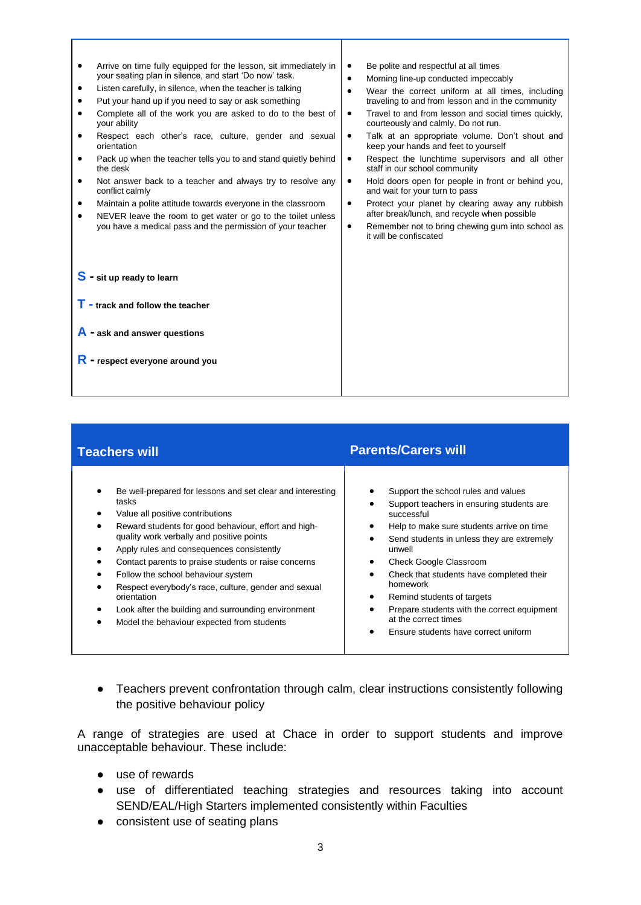| $\bullet$<br>٠<br>$\bullet$<br>$\bullet$<br>٠<br>٠<br>٠ | Arrive on time fully equipped for the lesson, sit immediately in<br>your seating plan in silence, and start 'Do now' task.<br>Listen carefully, in silence, when the teacher is talking<br>Put your hand up if you need to say or ask something<br>Complete all of the work you are asked to do to the best of<br>your ability<br>Respect each other's race, culture, gender and sexual<br>orientation<br>Pack up when the teacher tells you to and stand quietly behind<br>the desk<br>Not answer back to a teacher and always try to resolve any<br>conflict calmly<br>Maintain a polite attitude towards everyone in the classroom<br>NEVER leave the room to get water or go to the toilet unless<br>you have a medical pass and the permission of your teacher | $\bullet$<br>$\bullet$<br>$\bullet$<br>$\bullet$<br>$\bullet$<br>$\bullet$<br>$\bullet$<br>٠<br>$\bullet$ | Be polite and respectful at all times<br>Morning line-up conducted impeccably<br>Wear the correct uniform at all times, including<br>traveling to and from lesson and in the community<br>Travel to and from lesson and social times quickly,<br>courteously and calmly. Do not run.<br>Talk at an appropriate volume. Don't shout and<br>keep your hands and feet to yourself<br>Respect the lunchtime supervisors and all other<br>staff in our school community<br>Hold doors open for people in front or behind you,<br>and wait for your turn to pass<br>Protect your planet by clearing away any rubbish<br>after break/lunch, and recycle when possible<br>Remember not to bring chewing gum into school as<br>it will be confiscated |
|---------------------------------------------------------|---------------------------------------------------------------------------------------------------------------------------------------------------------------------------------------------------------------------------------------------------------------------------------------------------------------------------------------------------------------------------------------------------------------------------------------------------------------------------------------------------------------------------------------------------------------------------------------------------------------------------------------------------------------------------------------------------------------------------------------------------------------------|-----------------------------------------------------------------------------------------------------------|----------------------------------------------------------------------------------------------------------------------------------------------------------------------------------------------------------------------------------------------------------------------------------------------------------------------------------------------------------------------------------------------------------------------------------------------------------------------------------------------------------------------------------------------------------------------------------------------------------------------------------------------------------------------------------------------------------------------------------------------|
|                                                         | $S$ - sit up ready to learn<br>$\mathsf T$ - track and follow the teacher<br>$\overline{A}$ - ask and answer questions<br>- respect everyone around you                                                                                                                                                                                                                                                                                                                                                                                                                                                                                                                                                                                                             |                                                                                                           |                                                                                                                                                                                                                                                                                                                                                                                                                                                                                                                                                                                                                                                                                                                                              |

| <b>Teachers will</b>                                                                                                                                                                                                                                                                                                                                                                                                                                                                                                                | <b>Parents/Carers will</b>                                                                                                                                                                                                                                                                                                                                                                                                                                  |
|-------------------------------------------------------------------------------------------------------------------------------------------------------------------------------------------------------------------------------------------------------------------------------------------------------------------------------------------------------------------------------------------------------------------------------------------------------------------------------------------------------------------------------------|-------------------------------------------------------------------------------------------------------------------------------------------------------------------------------------------------------------------------------------------------------------------------------------------------------------------------------------------------------------------------------------------------------------------------------------------------------------|
| Be well-prepared for lessons and set clear and interesting<br>tasks<br>Value all positive contributions<br>Reward students for good behaviour, effort and high-<br>quality work verbally and positive points<br>Apply rules and consequences consistently<br>Contact parents to praise students or raise concerns<br>Follow the school behaviour system<br>Respect everybody's race, culture, gender and sexual<br>orientation<br>Look after the building and surrounding environment<br>Model the behaviour expected from students | Support the school rules and values<br>Support teachers in ensuring students are<br>successful<br>Help to make sure students arrive on time<br>٠<br>Send students in unless they are extremely<br>٠<br>unwell<br>Check Google Classroom<br>٠<br>Check that students have completed their<br>٠<br>homework<br>Remind students of targets<br>٠<br>Prepare students with the correct equipment<br>at the correct times<br>Ensure students have correct uniform |

● Teachers prevent confrontation through calm, clear instructions consistently following the positive behaviour policy

A range of strategies are used at Chace in order to support students and improve unacceptable behaviour. These include:

- use of rewards
- use of differentiated teaching strategies and resources taking into account SEND/EAL/High Starters implemented consistently within Faculties
- consistent use of seating plans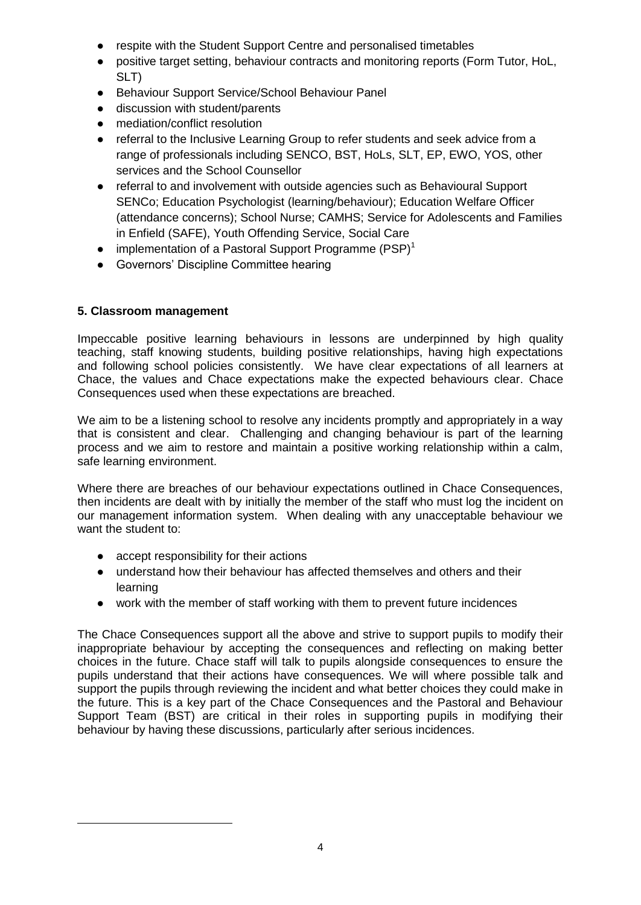- respite with the Student Support Centre and personalised timetables
- positive target setting, behaviour contracts and monitoring reports (Form Tutor, HoL, SLT)
- Behaviour Support Service/School Behaviour Panel
- discussion with student/parents
- mediation/conflict resolution
- referral to the Inclusive Learning Group to refer students and seek advice from a range of professionals including SENCO, BST, HoLs, SLT, EP, EWO, YOS, other services and the School Counsellor
- referral to and involvement with outside agencies such as Behavioural Support SENCo; Education Psychologist (learning/behaviour); Education Welfare Officer (attendance concerns); School Nurse; CAMHS; Service for Adolescents and Families in Enfield (SAFE), Youth Offending Service, Social Care
- implementation of a Pastoral Support Programme  $(PSP)^1$
- Governors' Discipline Committee hearing

## **5. Classroom management**

-

Impeccable positive learning behaviours in lessons are underpinned by high quality teaching, staff knowing students, building positive relationships, having high expectations and following school policies consistently. We have clear expectations of all learners at Chace, the values and Chace expectations make the expected behaviours clear. Chace Consequences used when these expectations are breached.

We aim to be a listening school to resolve any incidents promptly and appropriately in a way that is consistent and clear. Challenging and changing behaviour is part of the learning process and we aim to restore and maintain a positive working relationship within a calm, safe learning environment.

Where there are breaches of our behaviour expectations outlined in Chace Consequences, then incidents are dealt with by initially the member of the staff who must log the incident on our management information system. When dealing with any unacceptable behaviour we want the student to:

- accept responsibility for their actions
- understand how their behaviour has affected themselves and others and their learning
- work with the member of staff working with them to prevent future incidences

The Chace Consequences support all the above and strive to support pupils to modify their inappropriate behaviour by accepting the consequences and reflecting on making better choices in the future. Chace staff will talk to pupils alongside consequences to ensure the pupils understand that their actions have consequences. We will where possible talk and support the pupils through reviewing the incident and what better choices they could make in the future. This is a key part of the Chace Consequences and the Pastoral and Behaviour Support Team (BST) are critical in their roles in supporting pupils in modifying their behaviour by having these discussions, particularly after serious incidences.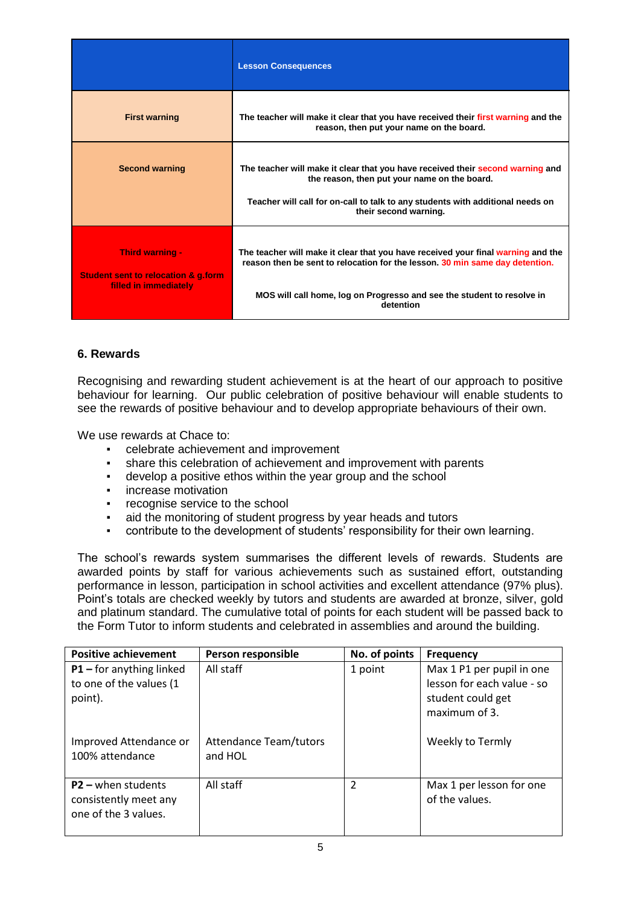|                                                                                                   | <b>Lesson Consequences</b>                                                                                                                                                                                                                 |
|---------------------------------------------------------------------------------------------------|--------------------------------------------------------------------------------------------------------------------------------------------------------------------------------------------------------------------------------------------|
| <b>First warning</b>                                                                              | The teacher will make it clear that you have received their first warning and the<br>reason, then put your name on the board.                                                                                                              |
| <b>Second warning</b>                                                                             | The teacher will make it clear that you have received their second warning and<br>the reason, then put your name on the board.<br>Teacher will call for on-call to talk to any students with additional needs on<br>their second warning.  |
| <b>Third warning -</b><br><b>Student sent to relocation &amp; g.form</b><br>filled in immediately | The teacher will make it clear that you have received your final warning and the<br>reason then be sent to relocation for the lesson. 30 min same day detention.<br>MOS will call home, log on Progresso and see the student to resolve in |
|                                                                                                   | detention                                                                                                                                                                                                                                  |

## **6. Rewards**

Recognising and rewarding student achievement is at the heart of our approach to positive behaviour for learning. Our public celebration of positive behaviour will enable students to see the rewards of positive behaviour and to develop appropriate behaviours of their own.

We use rewards at Chace to:

- celebrate achievement and improvement
- share this celebration of achievement and improvement with parents
- develop a positive ethos within the year group and the school
- **•** increase motivation
- recognise service to the school
- aid the monitoring of student progress by year heads and tutors
- contribute to the development of students' responsibility for their own learning.

The school's rewards system summarises the different levels of rewards. Students are awarded points by staff for various achievements such as sustained effort, outstanding performance in lesson, participation in school activities and excellent attendance (97% plus). Point's totals are checked weekly by tutors and students are awarded at bronze, silver, gold and platinum standard. The cumulative total of points for each student will be passed back to the Form Tutor to inform students and celebrated in assemblies and around the building.

| <b>Positive achievement</b>                                                   | Person responsible                       | No. of points | <b>Frequency</b>                                                                              |  |
|-------------------------------------------------------------------------------|------------------------------------------|---------------|-----------------------------------------------------------------------------------------------|--|
| All staff<br>$P1$ – for anything linked<br>to one of the values (1<br>point). |                                          | 1 point       | Max 1 P1 per pupil in one<br>lesson for each value - so<br>student could get<br>maximum of 3. |  |
| Improved Attendance or<br>100% attendance                                     | <b>Attendance Team/tutors</b><br>and HOL |               | Weekly to Termly                                                                              |  |
| $P2 -$ when students<br>consistently meet any<br>one of the 3 values.         | All staff                                | 2             | Max 1 per lesson for one<br>of the values.                                                    |  |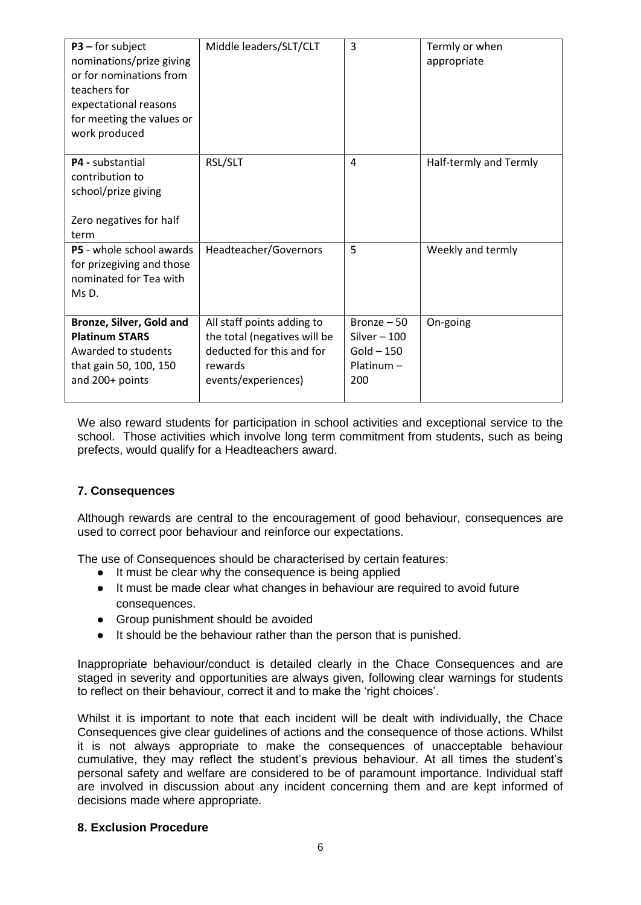| $P3$ – for subject<br>nominations/prize giving<br>or for nominations from<br>teachers for<br>expectational reasons<br>for meeting the values or<br>work produced | Middle leaders/SLT/CLT                                                                                                    | $\overline{3}$                                                       | Termly or when<br>appropriate |
|------------------------------------------------------------------------------------------------------------------------------------------------------------------|---------------------------------------------------------------------------------------------------------------------------|----------------------------------------------------------------------|-------------------------------|
| P4 - substantial<br>contribution to<br>school/prize giving<br>Zero negatives for half<br>term                                                                    | RSL/SLT                                                                                                                   | $\overline{4}$                                                       | Half-termly and Termly        |
| P5 - whole school awards<br>for prizegiving and those<br>nominated for Tea with<br>Ms D.                                                                         | Headteacher/Governors                                                                                                     | 5                                                                    | Weekly and termly             |
| Bronze, Silver, Gold and<br><b>Platinum STARS</b><br>Awarded to students<br>that gain 50, 100, 150<br>and 200+ points                                            | All staff points adding to<br>the total (negatives will be<br>deducted for this and for<br>rewards<br>events/experiences) | Bronze $-50$<br>Silver $-100$<br>$Gold - 150$<br>$Platinum -$<br>200 | On-going                      |

We also reward students for participation in school activities and exceptional service to the school. Those activities which involve long term commitment from students, such as being prefects, would qualify for a Headteachers award.

## **7. Consequences**

Although rewards are central to the encouragement of good behaviour, consequences are used to correct poor behaviour and reinforce our expectations.

The use of Consequences should be characterised by certain features:

- It must be clear why the consequence is being applied
- It must be made clear what changes in behaviour are required to avoid future consequences.
- Group punishment should be avoided
- It should be the behaviour rather than the person that is punished.

Inappropriate behaviour/conduct is detailed clearly in the Chace Consequences and are staged in severity and opportunities are always given, following clear warnings for students to reflect on their behaviour, correct it and to make the 'right choices'.

Whilst it is important to note that each incident will be dealt with individually, the Chace Consequences give clear guidelines of actions and the consequence of those actions. Whilst it is not always appropriate to make the consequences of unacceptable behaviour cumulative, they may reflect the student's previous behaviour. At all times the student's personal safety and welfare are considered to be of paramount importance. Individual staff are involved in discussion about any incident concerning them and are kept informed of decisions made where appropriate.

#### **8. Exclusion Procedure**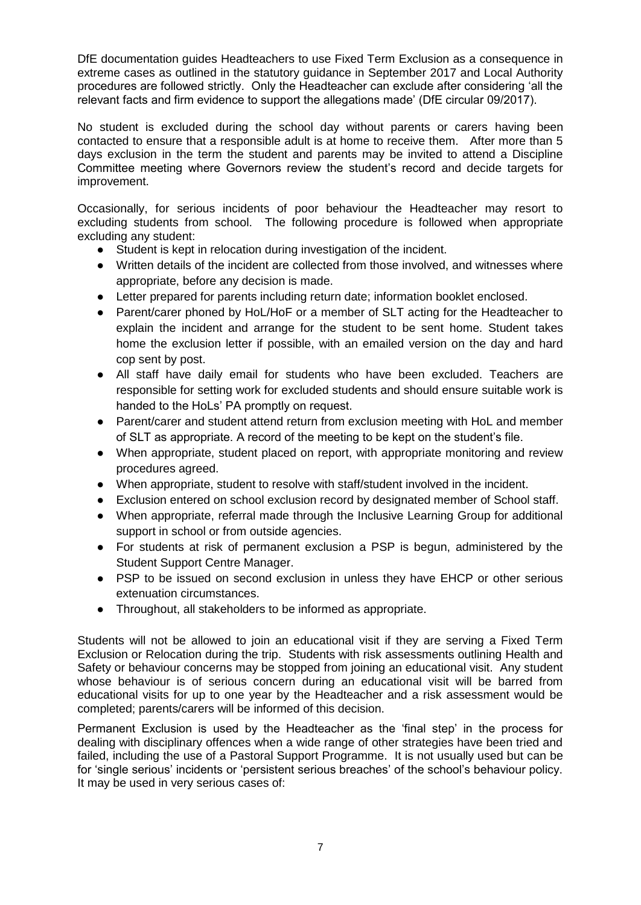DfE documentation guides Headteachers to use Fixed Term Exclusion as a consequence in extreme cases as outlined in the statutory guidance in September 2017 and Local Authority procedures are followed strictly. Only the Headteacher can exclude after considering 'all the relevant facts and firm evidence to support the allegations made' (DfE circular 09/2017).

No student is excluded during the school day without parents or carers having been contacted to ensure that a responsible adult is at home to receive them. After more than 5 days exclusion in the term the student and parents may be invited to attend a Discipline Committee meeting where Governors review the student's record and decide targets for improvement.

Occasionally, for serious incidents of poor behaviour the Headteacher may resort to excluding students from school. The following procedure is followed when appropriate excluding any student:

- Student is kept in relocation during investigation of the incident.
- Written details of the incident are collected from those involved, and witnesses where appropriate, before any decision is made.
- Letter prepared for parents including return date; information booklet enclosed.
- Parent/carer phoned by HoL/HoF or a member of SLT acting for the Headteacher to explain the incident and arrange for the student to be sent home. Student takes home the exclusion letter if possible, with an emailed version on the day and hard cop sent by post.
- All staff have daily email for students who have been excluded. Teachers are responsible for setting work for excluded students and should ensure suitable work is handed to the HoLs' PA promptly on request.
- Parent/carer and student attend return from exclusion meeting with HoL and member of SLT as appropriate. A record of the meeting to be kept on the student's file.
- When appropriate, student placed on report, with appropriate monitoring and review procedures agreed.
- When appropriate, student to resolve with staff/student involved in the incident.
- Exclusion entered on school exclusion record by designated member of School staff.
- When appropriate, referral made through the Inclusive Learning Group for additional support in school or from outside agencies.
- For students at risk of permanent exclusion a PSP is begun, administered by the Student Support Centre Manager.
- PSP to be issued on second exclusion in unless they have EHCP or other serious extenuation circumstances.
- Throughout, all stakeholders to be informed as appropriate.

Students will not be allowed to join an educational visit if they are serving a Fixed Term Exclusion or Relocation during the trip. Students with risk assessments outlining Health and Safety or behaviour concerns may be stopped from joining an educational visit. Any student whose behaviour is of serious concern during an educational visit will be barred from educational visits for up to one year by the Headteacher and a risk assessment would be completed; parents/carers will be informed of this decision.

Permanent Exclusion is used by the Headteacher as the 'final step' in the process for dealing with disciplinary offences when a wide range of other strategies have been tried and failed, including the use of a Pastoral Support Programme. It is not usually used but can be for 'single serious' incidents or 'persistent serious breaches' of the school's behaviour policy. It may be used in very serious cases of: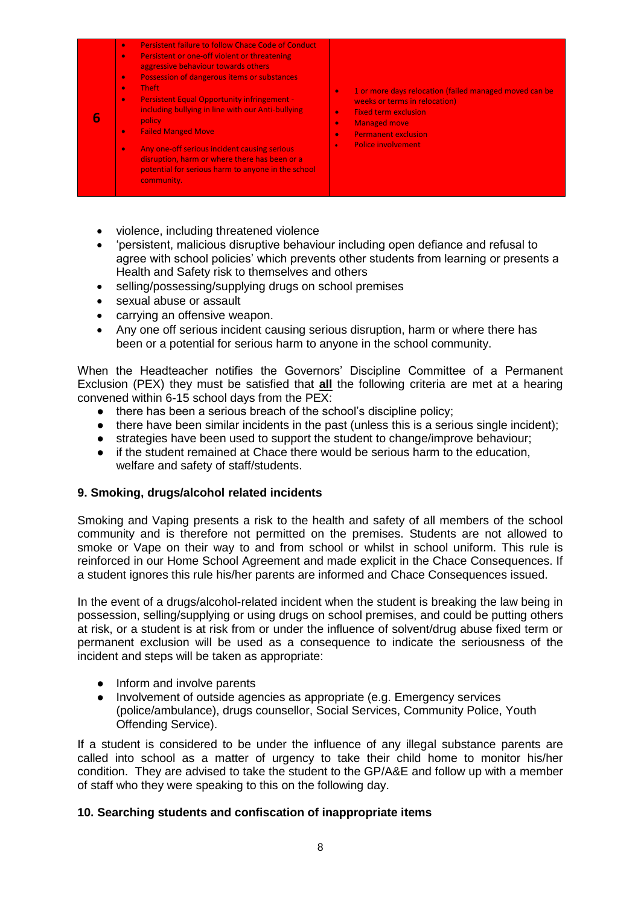|  | Persistent failure to follow Chace Code of Conduct<br>$\bullet$<br>Persistent or one-off violent or threatening<br>$\bullet$<br>aggressive behaviour towards others<br>Possession of dangerous items or substances<br>$\bullet$<br><b>Theft</b><br>$\bullet$<br><b>Persistent Equal Opportunity infringement -</b><br>$\bullet$<br>including bullying in line with our Anti-bullying<br>policy.<br><b>Failed Manged Move</b><br>$\bullet$<br>Any one-off serious incident causing serious<br>$\bullet$<br>disruption, harm or where there has been or a<br>potential for serious harm to anyone in the school<br>community. | 1 or more days relocation (failed managed moved can be<br>$\bullet$<br>weeks or terms in relocation)<br><b>Fixed term exclusion</b><br>$\bullet$<br><b>Managed move</b><br>$\bullet$<br><b>Permanent exclusion</b><br>$\bullet$<br><b>Police involvement</b><br>$\bullet$ |
|--|-----------------------------------------------------------------------------------------------------------------------------------------------------------------------------------------------------------------------------------------------------------------------------------------------------------------------------------------------------------------------------------------------------------------------------------------------------------------------------------------------------------------------------------------------------------------------------------------------------------------------------|---------------------------------------------------------------------------------------------------------------------------------------------------------------------------------------------------------------------------------------------------------------------------|
|--|-----------------------------------------------------------------------------------------------------------------------------------------------------------------------------------------------------------------------------------------------------------------------------------------------------------------------------------------------------------------------------------------------------------------------------------------------------------------------------------------------------------------------------------------------------------------------------------------------------------------------------|---------------------------------------------------------------------------------------------------------------------------------------------------------------------------------------------------------------------------------------------------------------------------|

- violence, including threatened violence
- 'persistent, malicious disruptive behaviour including open defiance and refusal to agree with school policies' which prevents other students from learning or presents a Health and Safety risk to themselves and others
- selling/possessing/supplying drugs on school premises
- sexual abuse or assault
- carrying an offensive weapon.
- Any one off serious incident causing serious disruption, harm or where there has been or a potential for serious harm to anyone in the school community.

When the Headteacher notifies the Governors' Discipline Committee of a Permanent Exclusion (PEX) they must be satisfied that **all** the following criteria are met at a hearing convened within 6-15 school days from the PEX:

- there has been a serious breach of the school's discipline policy;
- $\bullet$  there have been similar incidents in the past (unless this is a serious single incident);
- strategies have been used to support the student to change/improve behaviour;
- if the student remained at Chace there would be serious harm to the education, welfare and safety of staff/students.

#### **9. Smoking, drugs/alcohol related incidents**

Smoking and Vaping presents a risk to the health and safety of all members of the school community and is therefore not permitted on the premises. Students are not allowed to smoke or Vape on their way to and from school or whilst in school uniform. This rule is reinforced in our Home School Agreement and made explicit in the Chace Consequences. If a student ignores this rule his/her parents are informed and Chace Consequences issued.

In the event of a drugs/alcohol-related incident when the student is breaking the law being in possession, selling/supplying or using drugs on school premises, and could be putting others at risk, or a student is at risk from or under the influence of solvent/drug abuse fixed term or permanent exclusion will be used as a consequence to indicate the seriousness of the incident and steps will be taken as appropriate:

- Inform and involve parents
- Involvement of outside agencies as appropriate (e.g. Emergency services (police/ambulance), drugs counsellor, Social Services, Community Police, Youth Offending Service).

If a student is considered to be under the influence of any illegal substance parents are called into school as a matter of urgency to take their child home to monitor his/her condition. They are advised to take the student to the GP/A&E and follow up with a member of staff who they were speaking to this on the following day.

## **10. Searching students and confiscation of inappropriate items**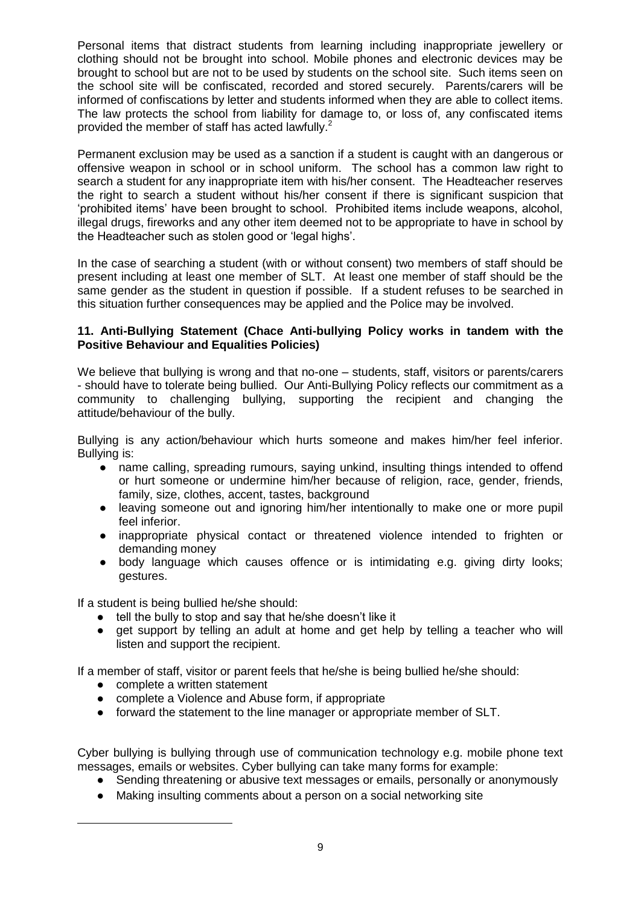Personal items that distract students from learning including inappropriate jewellery or clothing should not be brought into school. Mobile phones and electronic devices may be brought to school but are not to be used by students on the school site. Such items seen on the school site will be confiscated, recorded and stored securely. Parents/carers will be informed of confiscations by letter and students informed when they are able to collect items. The law protects the school from liability for damage to, or loss of, any confiscated items provided the member of staff has acted lawfully.<sup>2</sup>

Permanent exclusion may be used as a sanction if a student is caught with an dangerous or offensive weapon in school or in school uniform. The school has a common law right to search a student for any inappropriate item with his/her consent. The Headteacher reserves the right to search a student without his/her consent if there is significant suspicion that 'prohibited items' have been brought to school. Prohibited items include weapons, alcohol, illegal drugs, fireworks and any other item deemed not to be appropriate to have in school by the Headteacher such as stolen good or 'legal highs'.

In the case of searching a student (with or without consent) two members of staff should be present including at least one member of SLT. At least one member of staff should be the same gender as the student in question if possible. If a student refuses to be searched in this situation further consequences may be applied and the Police may be involved.

## **11. Anti-Bullying Statement (Chace Anti-bullying Policy works in tandem with the Positive Behaviour and Equalities Policies)**

We believe that bullying is wrong and that no-one – students, staff, visitors or parents/carers - should have to tolerate being bullied. Our Anti-Bullying Policy reflects our commitment as a community to challenging bullying, supporting the recipient and changing the attitude/behaviour of the bully.

Bullying is any action/behaviour which hurts someone and makes him/her feel inferior. Bullying is:

- name calling, spreading rumours, saying unkind, insulting things intended to offend or hurt someone or undermine him/her because of religion, race, gender, friends, family, size, clothes, accent, tastes, background
- leaving someone out and ignoring him/her intentionally to make one or more pupil feel inferior.
- inappropriate physical contact or threatened violence intended to frighten or demanding money
- body language which causes offence or is intimidating e.g. giving dirty looks; gestures.

If a student is being bullied he/she should:

- tell the bully to stop and say that he/she doesn't like it
- get support by telling an adult at home and get help by telling a teacher who will listen and support the recipient.

If a member of staff, visitor or parent feels that he/she is being bullied he/she should:

● complete a written statement

-

- complete a Violence and Abuse form, if appropriate
- forward the statement to the line manager or appropriate member of SLT.

Cyber bullying is bullying through use of communication technology e.g. mobile phone text messages, emails or websites. Cyber bullying can take many forms for example:

- Sending threatening or abusive text messages or emails, personally or anonymously
- Making insulting comments about a person on a social networking site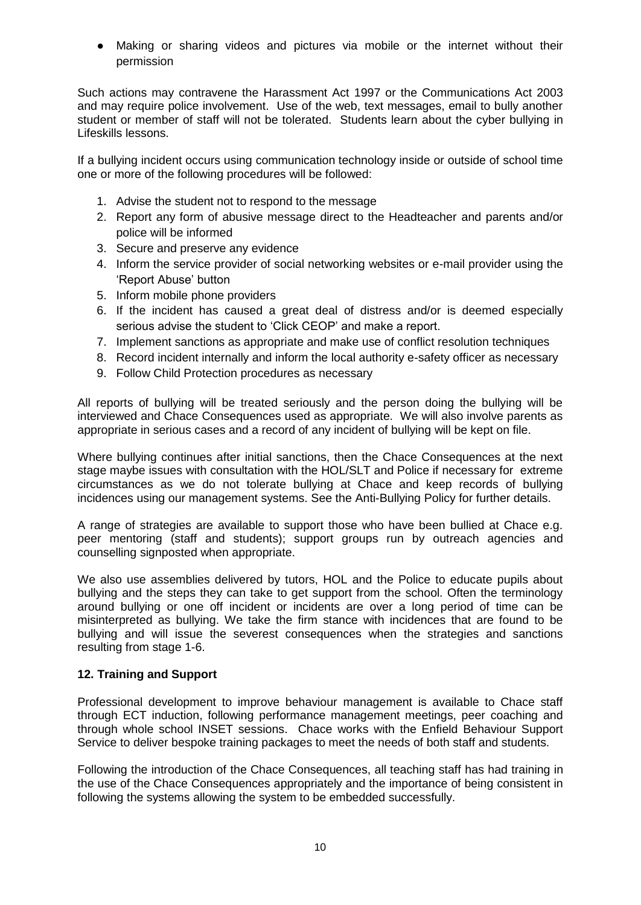● Making or sharing videos and pictures via mobile or the internet without their permission

Such actions may contravene the Harassment Act 1997 or the Communications Act 2003 and may require police involvement. Use of the web, text messages, email to bully another student or member of staff will not be tolerated. Students learn about the cyber bullying in Lifeskills lessons.

If a bullying incident occurs using communication technology inside or outside of school time one or more of the following procedures will be followed:

- 1. Advise the student not to respond to the message
- 2. Report any form of abusive message direct to the Headteacher and parents and/or police will be informed
- 3. Secure and preserve any evidence
- 4. Inform the service provider of social networking websites or e-mail provider using the 'Report Abuse' button
- 5. Inform mobile phone providers
- 6. If the incident has caused a great deal of distress and/or is deemed especially serious advise the student to 'Click CEOP' and make a report.
- 7. Implement sanctions as appropriate and make use of conflict resolution techniques
- 8. Record incident internally and inform the local authority e-safety officer as necessary
- 9. Follow Child Protection procedures as necessary

All reports of bullying will be treated seriously and the person doing the bullying will be interviewed and Chace Consequences used as appropriate. We will also involve parents as appropriate in serious cases and a record of any incident of bullying will be kept on file.

Where bullying continues after initial sanctions, then the Chace Consequences at the next stage maybe issues with consultation with the HOL/SLT and Police if necessary for extreme circumstances as we do not tolerate bullying at Chace and keep records of bullying incidences using our management systems. See the Anti-Bullying Policy for further details.

A range of strategies are available to support those who have been bullied at Chace e.g. peer mentoring (staff and students); support groups run by outreach agencies and counselling signposted when appropriate.

We also use assemblies delivered by tutors, HOL and the Police to educate pupils about bullying and the steps they can take to get support from the school. Often the terminology around bullying or one off incident or incidents are over a long period of time can be misinterpreted as bullying. We take the firm stance with incidences that are found to be bullying and will issue the severest consequences when the strategies and sanctions resulting from stage 1-6.

## **12. Training and Support**

Professional development to improve behaviour management is available to Chace staff through ECT induction, following performance management meetings, peer coaching and through whole school INSET sessions. Chace works with the Enfield Behaviour Support Service to deliver bespoke training packages to meet the needs of both staff and students.

Following the introduction of the Chace Consequences, all teaching staff has had training in the use of the Chace Consequences appropriately and the importance of being consistent in following the systems allowing the system to be embedded successfully.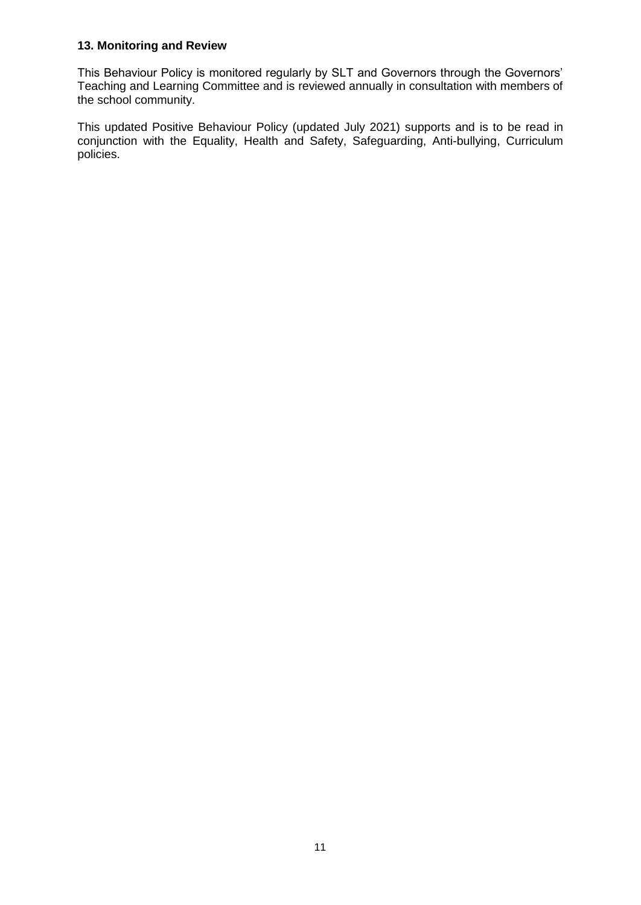## **13. Monitoring and Review**

This Behaviour Policy is monitored regularly by SLT and Governors through the Governors' Teaching and Learning Committee and is reviewed annually in consultation with members of the school community.

This updated Positive Behaviour Policy (updated July 2021) supports and is to be read in conjunction with the Equality, Health and Safety, Safeguarding, Anti-bullying, Curriculum policies.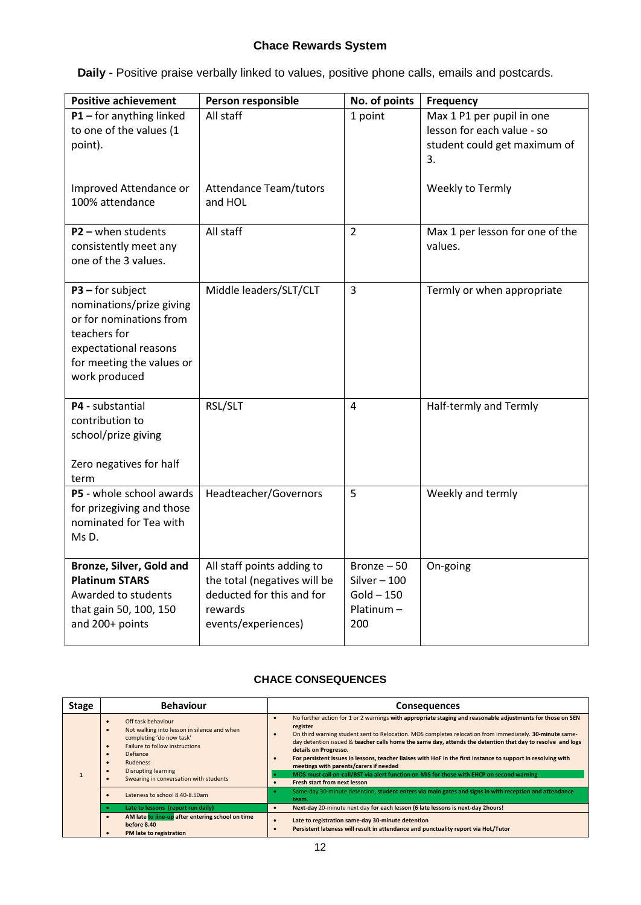## **Chace Rewards System**

**Daily -** Positive praise verbally linked to values, positive phone calls, emails and postcards.

| <b>Positive achievement</b>                                                                                                                                      | Person responsible                                                                                                        | No. of points                                                    | Frequency                                                                                     |
|------------------------------------------------------------------------------------------------------------------------------------------------------------------|---------------------------------------------------------------------------------------------------------------------------|------------------------------------------------------------------|-----------------------------------------------------------------------------------------------|
| $P1$ – for anything linked<br>to one of the values (1<br>point).                                                                                                 | All staff                                                                                                                 | 1 point                                                          | Max 1 P1 per pupil in one<br>lesson for each value - so<br>student could get maximum of<br>3. |
| Improved Attendance or<br>100% attendance                                                                                                                        | <b>Attendance Team/tutors</b><br>and HOL                                                                                  |                                                                  | Weekly to Termly                                                                              |
| $P2 -$ when students<br>consistently meet any<br>one of the 3 values.                                                                                            | All staff                                                                                                                 | $\overline{2}$                                                   | Max 1 per lesson for one of the<br>values.                                                    |
| $P3$ – for subject<br>nominations/prize giving<br>or for nominations from<br>teachers for<br>expectational reasons<br>for meeting the values or<br>work produced | Middle leaders/SLT/CLT                                                                                                    | $\overline{3}$                                                   | Termly or when appropriate                                                                    |
| P4 - substantial<br>contribution to<br>school/prize giving<br>Zero negatives for half<br>term                                                                    | RSL/SLT                                                                                                                   | $\overline{4}$                                                   | Half-termly and Termly                                                                        |
| P5 - whole school awards<br>for prizegiving and those<br>nominated for Tea with<br>MsD.                                                                          | Headteacher/Governors                                                                                                     | 5                                                                | Weekly and termly                                                                             |
| Bronze, Silver, Gold and<br><b>Platinum STARS</b><br>Awarded to students<br>that gain 50, 100, 150<br>and 200+ points                                            | All staff points adding to<br>the total (negatives will be<br>deducted for this and for<br>rewards<br>events/experiences) | Bronze - 50<br>Silver $-100$<br>$Gold - 150$<br>Platinum-<br>200 | On-going                                                                                      |

## **CHACE CONSEQUENCES**

| <b>Stage</b> | <b>Behaviour</b>                                                                                                                                                                                                                                                 | <b>Consequences</b>                                                                                                                                                                                                                                                                                                                                                                                                                                                                                                                                                                                                                                              |
|--------------|------------------------------------------------------------------------------------------------------------------------------------------------------------------------------------------------------------------------------------------------------------------|------------------------------------------------------------------------------------------------------------------------------------------------------------------------------------------------------------------------------------------------------------------------------------------------------------------------------------------------------------------------------------------------------------------------------------------------------------------------------------------------------------------------------------------------------------------------------------------------------------------------------------------------------------------|
|              | Off task behaviour<br>Not walking into lesson in silence and when<br>$\bullet$<br>completing 'do now task'<br>Failure to follow instructions<br>Defiance<br><b>Rudeness</b><br>$\bullet$<br><b>Disrupting learning</b><br>Swearing in conversation with students | No further action for 1 or 2 warnings with appropriate staging and reasonable adjustments for those on SEN<br>register<br>On third warning student sent to Relocation. MOS completes relocation from immediately. 30-minute same-<br>day detention issued & teacher calls home the same day, attends the detention that day to resolve and logs<br>details on Progresso.<br>For persistent issues in lessons, teacher liaises with HoF in the first instance to support in resolving with<br>meetings with parents/carers if needed<br>MOS must call on-call/BST via alert function on MIS for those with EHCP on second warning<br>Fresh start from next lesson |
|              | Lateness to school 8.40-8.50am                                                                                                                                                                                                                                   | Same-day 30-minute detention, student enters via main gates and signs in with reception and attendance<br>team.                                                                                                                                                                                                                                                                                                                                                                                                                                                                                                                                                  |
|              | Late to lessons (report run daily)                                                                                                                                                                                                                               | Next-day 20-minute next day for each lesson (6 late lessons is next-day 2hours!<br>$\bullet$                                                                                                                                                                                                                                                                                                                                                                                                                                                                                                                                                                     |
|              | AM late to line-up after entering school on time<br>before 8.40<br>PM late to registration                                                                                                                                                                       | Late to registration same-day 30-minute detention<br>Persistent lateness will result in attendance and punctuality report via HoL/Tutor                                                                                                                                                                                                                                                                                                                                                                                                                                                                                                                          |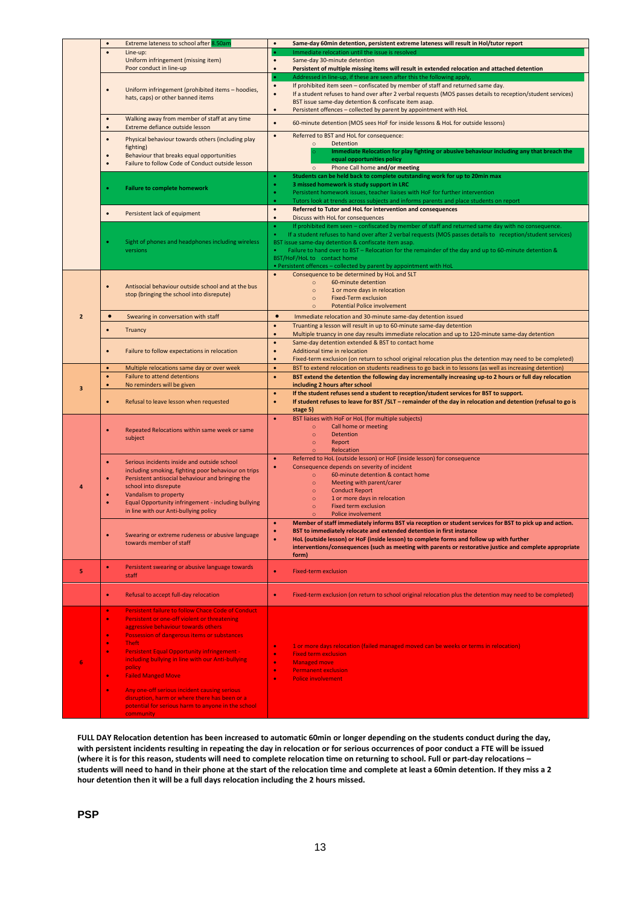|                | $\bullet$                                                                               | Extreme lateness to school after 8.50am                                                                                                                                                                                                                                                                                                                                                                                                                            | Same-day 60min detention, persistent extreme lateness will result in Hol/tutor report<br>$\bullet$                                                                                                                                                                                                                                                                                                                                                                                              |
|----------------|-----------------------------------------------------------------------------------------|--------------------------------------------------------------------------------------------------------------------------------------------------------------------------------------------------------------------------------------------------------------------------------------------------------------------------------------------------------------------------------------------------------------------------------------------------------------------|-------------------------------------------------------------------------------------------------------------------------------------------------------------------------------------------------------------------------------------------------------------------------------------------------------------------------------------------------------------------------------------------------------------------------------------------------------------------------------------------------|
|                | $\bullet$                                                                               | Line-up:<br>Uniform infringement (missing item)<br>Poor conduct in line-up                                                                                                                                                                                                                                                                                                                                                                                         | Immediate relocation until the issue is resolved<br>Same-day 30-minute detention<br>$\bullet$<br>$\bullet$<br>Persistent of multiple missing items will result in extended relocation and attached detention                                                                                                                                                                                                                                                                                    |
|                | $\bullet$                                                                               | Uniform infringement (prohibited items - hoodies,<br>hats, caps) or other banned items                                                                                                                                                                                                                                                                                                                                                                             | Addressed in line-up, if these are seen after this the following apply,<br>If prohibited item seen - confiscated by member of staff and returned same day.<br>$\bullet$<br>If a student refuses to hand over after 2 verbal requests (MOS passes details to reception/student services)<br>$\bullet$<br>BST issue same-day detention & confiscate item asap.<br>Persistent offences - collected by parent by appointment with HoL<br>$\bullet$                                                  |
|                | $\bullet$<br>$\bullet$                                                                  | Walking away from member of staff at any time<br>Extreme defiance outside lesson                                                                                                                                                                                                                                                                                                                                                                                   | $\bullet$<br>60-minute detention (MOS sees HoF for inside lessons & HoL for outside lessons)                                                                                                                                                                                                                                                                                                                                                                                                    |
|                | $\bullet$<br>$\bullet$<br>$\bullet$                                                     | Physical behaviour towards others (including play<br>fighting)<br>Behaviour that breaks equal opportunities<br>Failure to follow Code of Conduct outside lesson                                                                                                                                                                                                                                                                                                    | $\bullet$<br>Referred to BST and HoL for consequence:<br>Detention<br>$\circ$<br>Immediate Relocation for play fighting or abusive behaviour including any that breach the<br>equal opportunities policy<br>Phone Call home and/or meeting<br>$\circ$                                                                                                                                                                                                                                           |
|                |                                                                                         | <b>Failure to complete homework</b>                                                                                                                                                                                                                                                                                                                                                                                                                                | Students can be held back to complete outstanding work for up to 20min max<br>3 missed homework is study support in LRC<br>Persistent homework issues, teacher liaises with HoF for further intervention<br>۰<br>Tutors look at trends across subjects and informs parents and place students on report<br>٠                                                                                                                                                                                    |
|                | $\bullet$                                                                               | Persistent lack of equipment                                                                                                                                                                                                                                                                                                                                                                                                                                       | $\bullet$<br>Referred to Tutor and HoL for intervention and consequences<br>$\bullet$<br>Discuss with HoL for consequences                                                                                                                                                                                                                                                                                                                                                                      |
|                |                                                                                         | Sight of phones and headphones including wireless<br>versions                                                                                                                                                                                                                                                                                                                                                                                                      | If prohibited item seen - confiscated by member of staff and returned same day with no consequence.<br>٠<br>If a student refuses to hand over after 2 verbal requests (MOS passes details to reception/student services)<br>BST issue same-day detention & confiscate item asap.<br>Failure to hand over to BST - Relocation for the remainder of the day and up to 60-minute detention &<br>BST/HoF/HoL to contact home<br>• Persistent offences - collected by parent by appointment with HoL |
|                | $\bullet$                                                                               | Antisocial behaviour outside school and at the bus<br>stop (bringing the school into disrepute)                                                                                                                                                                                                                                                                                                                                                                    | Consequence to be determined by HoL and SLT<br>$\bullet$<br>60-minute detention<br>$\circ$<br>$\circ$<br>1 or more days in relocation<br>$\circ$<br><b>Fixed-Term exclusion</b><br><b>Potential Police involvement</b><br>$\circ$                                                                                                                                                                                                                                                               |
| $\overline{2}$ | $\bullet$                                                                               | Swearing in conversation with staff                                                                                                                                                                                                                                                                                                                                                                                                                                | $\bullet$<br>Immediate relocation and 30-minute same-day detention issued                                                                                                                                                                                                                                                                                                                                                                                                                       |
|                |                                                                                         | <b>Truancy</b>                                                                                                                                                                                                                                                                                                                                                                                                                                                     | $\bullet$<br>Truanting a lesson will result in up to 60-minute same-day detention<br>Multiple truancy in one day results immediate relocation and up to 120-minute same-day detention<br>$\bullet$                                                                                                                                                                                                                                                                                              |
|                | $\bullet$                                                                               | Failure to follow expectations in relocation                                                                                                                                                                                                                                                                                                                                                                                                                       | Same-day detention extended & BST to contact home<br>$\bullet$<br>Additional time in relocation<br>$\bullet$<br>Fixed-term exclusion (on return to school original relocation plus the detention may need to be completed)<br>$\bullet$                                                                                                                                                                                                                                                         |
|                | $\bullet$                                                                               | Multiple relocations same day or over week                                                                                                                                                                                                                                                                                                                                                                                                                         | BST to extend relocation on students readiness to go back in to lessons (as well as increasing detention)<br>$\bullet$                                                                                                                                                                                                                                                                                                                                                                          |
|                | $\bullet$                                                                               | <b>Failure to attend detentions</b>                                                                                                                                                                                                                                                                                                                                                                                                                                | BST extend the detention the following day incrementally increasing up-to 2 hours or full day relocation<br>$\bullet$                                                                                                                                                                                                                                                                                                                                                                           |
| 3              | $\bullet$<br>$\bullet$                                                                  | No reminders will be given<br>Refusal to leave lesson when requested                                                                                                                                                                                                                                                                                                                                                                                               | including 2 hours after school<br>If the student refuses send a student to reception/student services for BST to support.<br>$\bullet$<br>If student refuses to leave for BST /SLT - remainder of the day in relocation and detention (refusal to go is<br>۰<br>stage 5)                                                                                                                                                                                                                        |
|                | $\bullet$                                                                               | Repeated Relocations within same week or same<br>subject                                                                                                                                                                                                                                                                                                                                                                                                           | BST liaises with HoF or HoL (for multiple subjects)<br>$\bullet$<br>Call home or meeting<br>$\circ$<br><b>Detention</b><br>$\circ$<br>Report<br>$\circ$<br>Relocation                                                                                                                                                                                                                                                                                                                           |
| 4              |                                                                                         | Serious incidents inside and outside school<br>including smoking, fighting poor behaviour on trips<br>Persistent antisocial behaviour and bringing the<br>school into disrepute<br>Vandalism to property<br>Equal Opportunity infringement - including bullying<br>in line with our Anti-bullying policy                                                                                                                                                           | Referred to HoL (outside lesson) or HoF (inside lesson) for consequence<br>٠<br>Consequence depends on severity of incident<br>٠<br>60-minute detention & contact home<br>$\circ$<br>Meeting with parent/carer<br>$\circ$<br><b>Conduct Report</b><br>$\circ$<br>1 or more days in relocation<br>$\circ$<br><b>Fixed term exclusion</b><br>$\circ$<br>Police involvement<br>$\Omega$                                                                                                            |
|                | $\bullet$                                                                               | Swearing or extreme rudeness or abusive language<br>towards member of staff                                                                                                                                                                                                                                                                                                                                                                                        | ۰<br>Member of staff immediately informs BST via reception or student services for BST to pick up and action.<br>BST to immediately relocate and extended detention in first instance<br>۰<br>HoL (outside lesson) or HoF (inside lesson) to complete forms and follow up with further<br>۰<br>interventions/consequences (such as meeting with parents or restorative justice and complete appropriate<br>form)                                                                                |
| 5              | $\bullet$                                                                               | Persistent swearing or abusive language towards<br>staff                                                                                                                                                                                                                                                                                                                                                                                                           | <b>Fixed-term exclusion</b><br>۰                                                                                                                                                                                                                                                                                                                                                                                                                                                                |
|                | $\bullet$                                                                               | Refusal to accept full-day relocation                                                                                                                                                                                                                                                                                                                                                                                                                              | Fixed-term exclusion (on return to school original relocation plus the detention may need to be completed)<br>۰                                                                                                                                                                                                                                                                                                                                                                                 |
| 6              | $\bullet$<br>$\bullet$<br>$\bullet$<br>$\bullet$<br>$\bullet$<br>$\bullet$<br>$\bullet$ | <b>Persistent failure to follow Chace Code of Conduct</b><br>Persistent or one-off violent or threatening<br>aggressive behaviour towards others<br>Possession of dangerous items or substances<br><b>Theft</b><br><b>Persistent Equal Opportunity infringement -</b><br>including bullying in line with our Anti-bullying<br>policy<br><b>Failed Manged Move</b><br>Any one-off serious incident causing serious<br>disruption, harm or where there has been or a | 1 or more days relocation (failed managed moved can be weeks or terms in relocation)<br>۰<br><b>Fixed term exclusion</b><br>۰<br>$\bullet$<br><b>Managed move</b><br><b>Permanent exclusion</b><br>$\bullet$<br><b>Police involvement</b><br>$\bullet$                                                                                                                                                                                                                                          |
|                |                                                                                         | potential for serious harm to anyone in the school<br><b>community</b>                                                                                                                                                                                                                                                                                                                                                                                             |                                                                                                                                                                                                                                                                                                                                                                                                                                                                                                 |

**FULL DAY Relocation detention has been increased to automatic 60min or longer depending on the students conduct during the day, with persistent incidents resulting in repeating the day in relocation or for serious occurrences of poor conduct a FTE will be issued (where it is for this reason, students will need to complete relocation time on returning to school. Full or part-day relocations – students will need to hand in their phone at the start of the relocation time and complete at least a 60min detention. If they miss a 2 hour detention then it will be a full days relocation including the 2 hours missed.**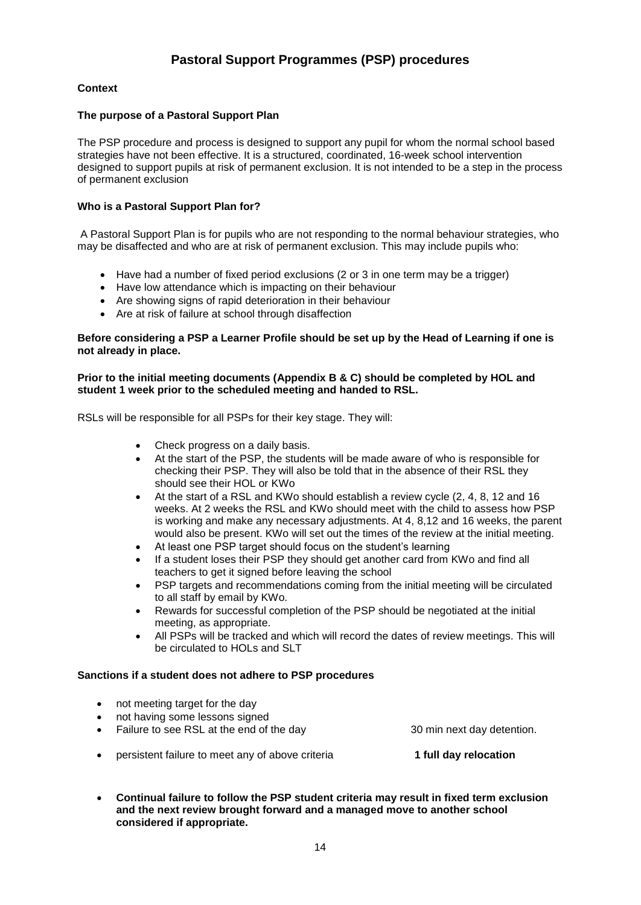## **Context**

#### **The purpose of a Pastoral Support Plan**

The PSP procedure and process is designed to support any pupil for whom the normal school based strategies have not been effective. It is a structured, coordinated, 16-week school intervention designed to support pupils at risk of permanent exclusion. It is not intended to be a step in the process of permanent exclusion

#### **Who is a Pastoral Support Plan for?**

A Pastoral Support Plan is for pupils who are not responding to the normal behaviour strategies, who may be disaffected and who are at risk of permanent exclusion. This may include pupils who:

- Have had a number of fixed period exclusions (2 or 3 in one term may be a trigger)
- Have low attendance which is impacting on their behaviour
- Are showing signs of rapid deterioration in their behaviour
- Are at risk of failure at school through disaffection

#### **Before considering a PSP a Learner Profile should be set up by the Head of Learning if one is not already in place.**

#### **Prior to the initial meeting documents (Appendix B & C) should be completed by HOL and student 1 week prior to the scheduled meeting and handed to RSL.**

RSLs will be responsible for all PSPs for their key stage. They will:

- Check progress on a daily basis.
- At the start of the PSP, the students will be made aware of who is responsible for checking their PSP. They will also be told that in the absence of their RSL they should see their HOL or KWo
- At the start of a RSL and KWo should establish a review cycle (2, 4, 8, 12 and 16 weeks. At 2 weeks the RSL and KWo should meet with the child to assess how PSP is working and make any necessary adjustments. At 4, 8,12 and 16 weeks, the parent would also be present. KWo will set out the times of the review at the initial meeting.
- At least one PSP target should focus on the student's learning
- If a student loses their PSP they should get another card from KWo and find all teachers to get it signed before leaving the school
- PSP targets and recommendations coming from the initial meeting will be circulated to all staff by email by KWo.
- Rewards for successful completion of the PSP should be negotiated at the initial meeting, as appropriate.
- All PSPs will be tracked and which will record the dates of review meetings. This will be circulated to HOLs and SLT

#### **Sanctions if a student does not adhere to PSP procedures**

- not meeting target for the day
- not having some lessons signed
- Failure to see RSL at the end of the day 30 min next day detention.
- **•** persistent failure to meet any of above criteria **1 full day relocation**

 **Continual failure to follow the PSP student criteria may result in fixed term exclusion and the next review brought forward and a managed move to another school considered if appropriate.**